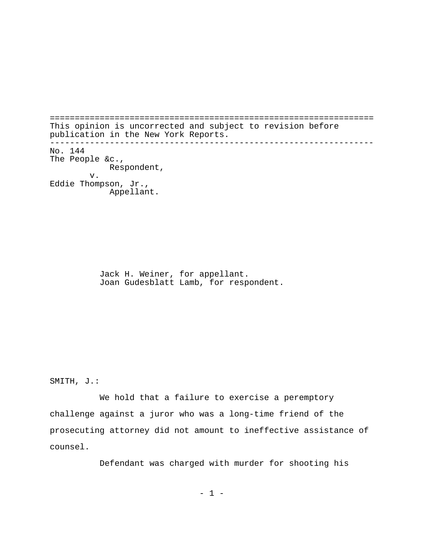================================================================= This opinion is uncorrected and subject to revision before publication in the New York Reports. ----------------------------------------------------------------- No. 144 The People &c., Respondent, v. Eddie Thompson, Jr., Appellant.

> Jack H. Weiner, for appellant. Joan Gudesblatt Lamb, for respondent.

SMITH, J.:

We hold that a failure to exercise a peremptory challenge against a juror who was a long-time friend of the prosecuting attorney did not amount to ineffective assistance of counsel.

Defendant was charged with murder for shooting his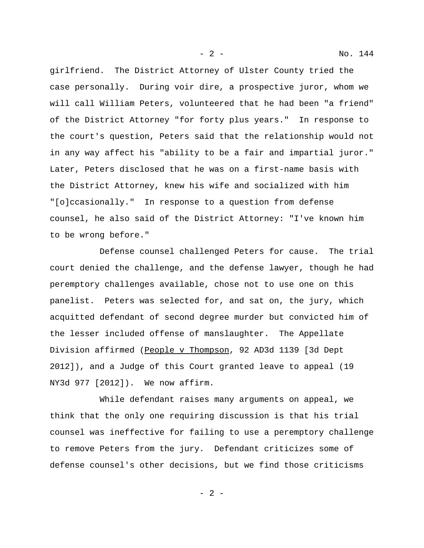girlfriend. The District Attorney of Ulster County tried the case personally. During voir dire, a prospective juror, whom we will call William Peters, volunteered that he had been "a friend" of the District Attorney "for forty plus years." In response to the court's question, Peters said that the relationship would not in any way affect his "ability to be a fair and impartial juror." Later, Peters disclosed that he was on a first-name basis with the District Attorney, knew his wife and socialized with him "[o]ccasionally." In response to a question from defense counsel, he also said of the District Attorney: "I've known him to be wrong before."

Defense counsel challenged Peters for cause. The trial court denied the challenge, and the defense lawyer, though he had peremptory challenges available, chose not to use one on this panelist. Peters was selected for, and sat on, the jury, which acquitted defendant of second degree murder but convicted him of the lesser included offense of manslaughter. The Appellate Division affirmed (People v Thompson, 92 AD3d 1139 [3d Dept 2012]), and a Judge of this Court granted leave to appeal (19 NY3d 977 [2012]). We now affirm.

While defendant raises many arguments on appeal, we think that the only one requiring discussion is that his trial counsel was ineffective for failing to use a peremptory challenge to remove Peters from the jury. Defendant criticizes some of defense counsel's other decisions, but we find those criticisms

- 2 -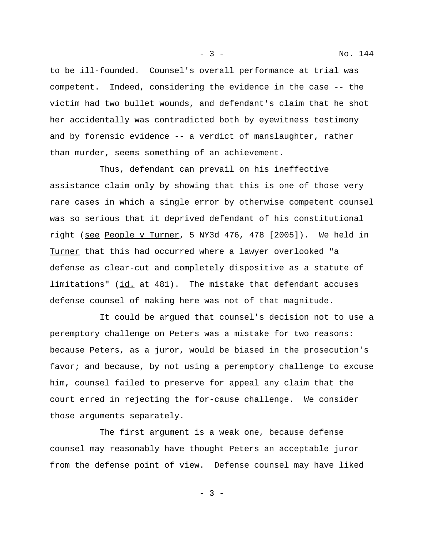to be ill-founded. Counsel's overall performance at trial was competent. Indeed, considering the evidence in the case -- the victim had two bullet wounds, and defendant's claim that he shot her accidentally was contradicted both by eyewitness testimony and by forensic evidence -- a verdict of manslaughter, rather than murder, seems something of an achievement.

Thus, defendant can prevail on his ineffective assistance claim only by showing that this is one of those very rare cases in which a single error by otherwise competent counsel was so serious that it deprived defendant of his constitutional right (see People v Turner, 5 NY3d 476, 478 [2005]). We held in Turner that this had occurred where a lawyer overlooked "a defense as clear-cut and completely dispositive as a statute of limitations" (id. at 481). The mistake that defendant accuses defense counsel of making here was not of that magnitude.

It could be argued that counsel's decision not to use a peremptory challenge on Peters was a mistake for two reasons: because Peters, as a juror, would be biased in the prosecution's favor; and because, by not using a peremptory challenge to excuse him, counsel failed to preserve for appeal any claim that the court erred in rejecting the for-cause challenge. We consider those arguments separately.

The first argument is a weak one, because defense counsel may reasonably have thought Peters an acceptable juror from the defense point of view. Defense counsel may have liked

- 3 -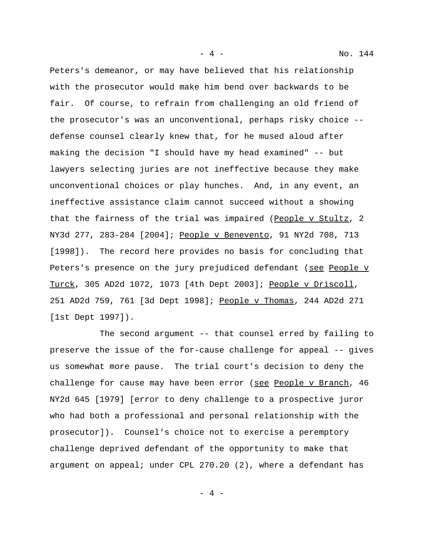Peters's demeanor, or may have believed that his relationship with the prosecutor would make him bend over backwards to be fair. Of course, to refrain from challenging an old friend of the prosecutor's was an unconventional, perhaps risky choice - defense counsel clearly knew that, for he mused aloud after making the decision "I should have my head examined" -- but lawyers selecting juries are not ineffective because they make unconventional choices or play hunches. And, in any event, an ineffective assistance claim cannot succeed without a showing that the fairness of the trial was impaired (People v Stultz, 2 NY3d 277, 283-284 [2004]; People v Benevento, 91 NY2d 708, 713 [1998]). The record here provides no basis for concluding that Peters's presence on the jury prejudiced defendant (see People v Turck, 305 AD2d 1072, 1073 [4th Dept 2003]; People v Driscoll, 251 AD2d 759, 761 [3d Dept 1998]; People v Thomas, 244 AD2d 271 [1st Dept 1997]).

The second argument -- that counsel erred by failing to preserve the issue of the for-cause challenge for appeal -- gives us somewhat more pause. The trial court's decision to deny the challenge for cause may have been error (see People v Branch, 46 NY2d 645 [1979] [error to deny challenge to a prospective juror who had both a professional and personal relationship with the prosecutor]). Counsel's choice not to exercise a peremptory challenge deprived defendant of the opportunity to make that argument on appeal; under CPL 270.20 (2), where a defendant has

 $- 4 -$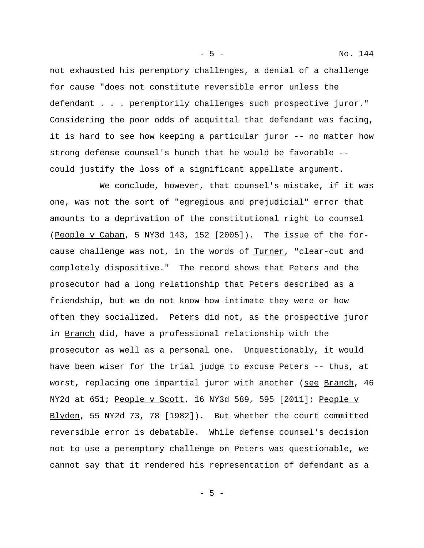not exhausted his peremptory challenges, a denial of a challenge for cause "does not constitute reversible error unless the defendant . . . peremptorily challenges such prospective juror." Considering the poor odds of acquittal that defendant was facing, it is hard to see how keeping a particular juror -- no matter how strong defense counsel's hunch that he would be favorable - could justify the loss of a significant appellate argument.

We conclude, however, that counsel's mistake, if it was one, was not the sort of "egregious and prejudicial" error that amounts to a deprivation of the constitutional right to counsel (People v Caban, 5 NY3d 143, 152 [2005]). The issue of the forcause challenge was not, in the words of Turner, "clear-cut and completely dispositive." The record shows that Peters and the prosecutor had a long relationship that Peters described as a friendship, but we do not know how intimate they were or how often they socialized. Peters did not, as the prospective juror in Branch did, have a professional relationship with the prosecutor as well as a personal one. Unquestionably, it would have been wiser for the trial judge to excuse Peters -- thus, at worst, replacing one impartial juror with another (see Branch, 46 NY2d at 651; People v Scott, 16 NY3d 589, 595 [2011]; People v Blyden, 55 NY2d 73, 78 [1982]). But whether the court committed reversible error is debatable. While defense counsel's decision not to use a peremptory challenge on Peters was questionable, we cannot say that it rendered his representation of defendant as a

- 5 - No. 144

- 5 -